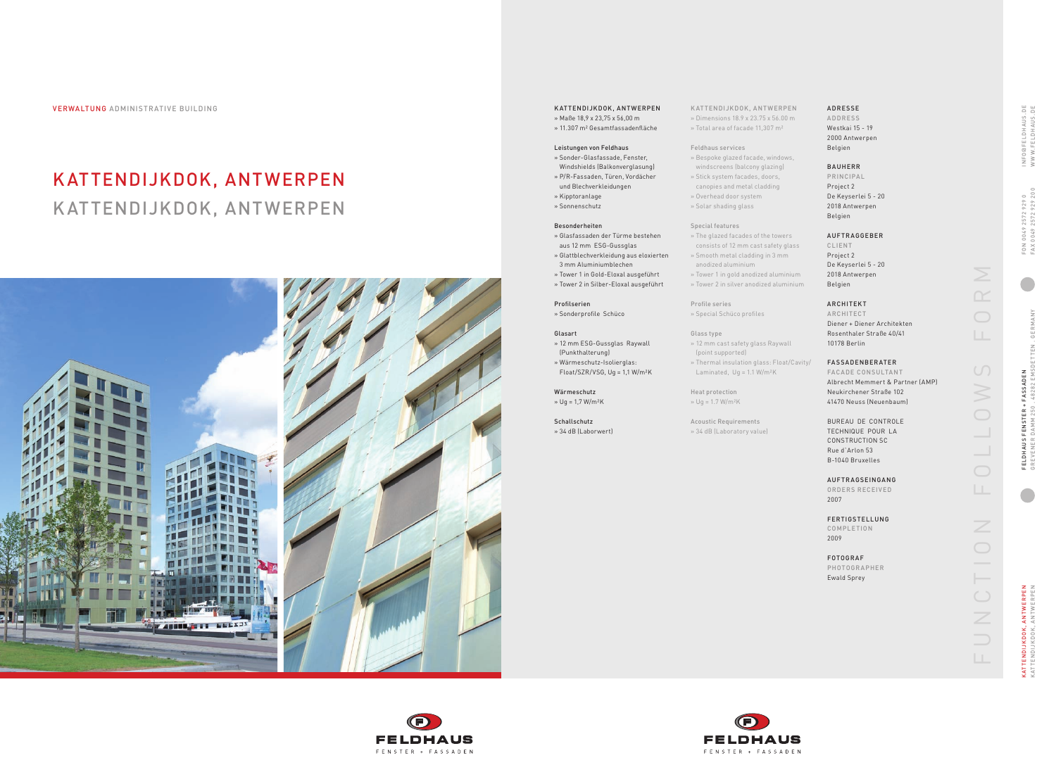(ATTENDIJKDOK, ANTWERPEN<br>(ATTENDIJKDOK, ANTWERPEN KATTENDIJKDOK, ANTWERPEN KATTENDIJKDOK, ANTWERPEN

FU NCTIO N  FO L LOW S  FORM

 $\bigcirc$ 

Z

 $\bigcirc$ 

 $\bigcirc$ 

 $\overline{Z}$ 

 $\geq$ 

 $\bigcirc$ 

 $\cup$ 

 $\subset$ 

# KATTENDIJKDOK, ANTWERPEN KATTENDIJKDOK, ANTWERPEN



### KATTENDIJKDOK, ANTWERPEN

- »  Maße 18,9 x 23,75 x 56,00 m
- »  11.307 m² Gesamtfassadenfläche

### Leistungen von Feldhaus

- »  Sonder-Glasfassade, Fenster, Windshields (Balkonverglasung)
- »  P/R-Fassaden, Türen, Vordächer
- und Blechverkleidungen
- »  Kipptoranlage »  Sonnenschutz

#### Besonderheiten

- »  Glasfassaden der Türme bestehen
- aus 12 mm  ESG-Gussglas
- »  Glattblechverkleidung aus eloxierten
- 3 mm Aluminiumblechen »  Tower 1 in Gold-Eloxal ausgeführt
- »  Tower 2 in Silber-Eloxal ausgeführt

#### Profilserien

»  Sonderprofile  Schüco

#### Glasart

- »  12 mm ESG-Gussglas  Raywall   (Punkthalterung)
- »  Wärmeschutz-Isolierglas:
- Float/SZR/VSG, Ug = 1,1 W/m²K
- Wärmeschutz »  Ug = 1,7 W/m²K

## BAuhERR PRI NCIPA L Project 2 De Keyserlei 5 - 20 2018 Antwerpen Belgien AuFTRAggEBER CLIENT Project 2 De Keyserlei 5 - 20 2018 Antwerpen Belgien ARCHITEKT ARCHITECT Diener + Diener Architekten Rosenthaler Straße 40/41 10178 Berlin FAssADEN BERATER FACADE CONsuLTANT Albrecht Memmert & Partner (AMP) Neukirchener Straße 102 41470 Neuss (Neuenbaum) BUREAU  DE  CONTROLE TECHNIQUE  POUR  LA CONSTRUCTION SC Rue d`Arlon 53 B-1040 Bruxelles AUFTRAGSEINGANG ORDERs RECEI vED FERTIGSTELLUNG CO mPLETION FOTO gRAF **PHOTOGRAPHER**

schallschutz » 34 dB (Laborwert) » Total area of facade 11,307 m²

#### Feldhaus services

- »  Bespoke glazed facade, windows,
- windscreens (balcony glazing)
- »  Stick system facades, doors, canopies and metal cladding
- » Overhead door system
- » Solar shading glass

- special features »  The glazed facades of the towers
- consists of 12 mm cast safety glass
- »  Smooth metal cladding in 3 mm
- anodized aluminium
- » Tower 1 in gold anodized aluminium

KATTENDIJKDOK, ANTWERPEN »  Dimensions 18.9 x 23.75 x 56.00 m ADREss E ADDREss Westkai 15 - 19

### » Tower 2 in silver anodized aluminium

Profile series »  Special Schüco profiles

»  12 mm cast safety glass Raywall  

(point supported)

Glass type

»  Thermal insulation glass: Float/Cavity/ Laminated,  Ug = 1.1 W/m²K

heat protection »  Ug = 1.7 W/m²K

Acoustic Requirements »  34 dB (Laboratory value)

2000 Antwerpen Belgien

2007

2009

Ewald Sprey